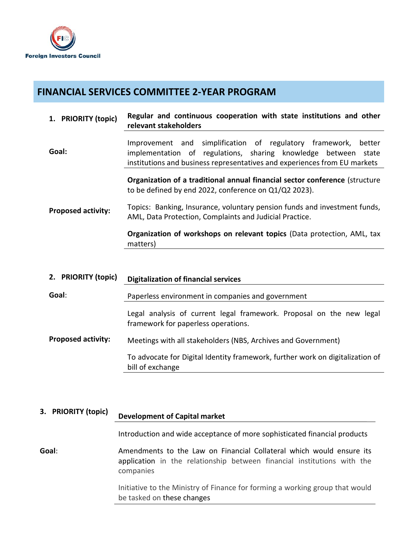

## **FINANCIAL SERVICES COMMITTEE 2-YEAR PROGRAM**

| 1. PRIORITY (topic)       | Regular and continuous cooperation with state institutions and other<br>relevant stakeholders                                                                                                                       |
|---------------------------|---------------------------------------------------------------------------------------------------------------------------------------------------------------------------------------------------------------------|
| Goal:                     | Improvement and simplification of regulatory framework,<br>better<br>implementation of regulations, sharing knowledge between<br>state<br>institutions and business representatives and experiences from EU markets |
|                           | Organization of a traditional annual financial sector conference (structure<br>to be defined by end 2022, conference on Q1/Q2 2023).                                                                                |
| <b>Proposed activity:</b> | Topics: Banking, Insurance, voluntary pension funds and investment funds,<br>AML, Data Protection, Complaints and Judicial Practice.                                                                                |
|                           | Organization of workshops on relevant topics (Data protection, AML, tax<br>matters)                                                                                                                                 |
|                           |                                                                                                                                                                                                                     |

| 2. PRIORITY (topic)       | <b>Digitalization of financial services</b>                                                                 |
|---------------------------|-------------------------------------------------------------------------------------------------------------|
| Goal:                     | Paperless environment in companies and government                                                           |
|                           | Legal analysis of current legal framework. Proposal on the new legal<br>framework for paperless operations. |
| <b>Proposed activity:</b> | Meetings with all stakeholders (NBS, Archives and Government)                                               |
|                           | To advocate for Digital Identity framework, further work on digitalization of<br>bill of exchange           |

| 3. PRIORITY (topic) | <b>Development of Capital market</b>                                                                                                                         |
|---------------------|--------------------------------------------------------------------------------------------------------------------------------------------------------------|
|                     | Introduction and wide acceptance of more sophisticated financial products                                                                                    |
| Goal:               | Amendments to the Law on Financial Collateral which would ensure its<br>application in the relationship between financial institutions with the<br>companies |
|                     | Initiative to the Ministry of Finance for forming a working group that would<br>be tasked on these changes                                                   |